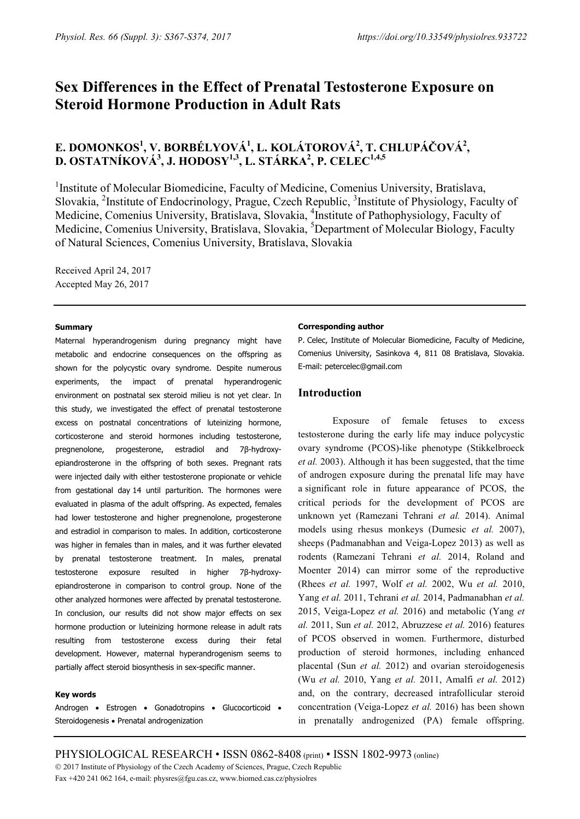# **Sex Differences in the Effect of Prenatal Testosterone Exposure on Steroid Hormone Production in Adult Rats**

## **E. DOMONKOS<sup>1</sup>, V. BORBÉLYOVÁ<sup>1</sup>, L. KOLÁTOROVÁ<sup>2</sup>, T. CHLUPÁČOVÁ<sup>2</sup>,** D. OSTATNÍKOVÁ<sup>3</sup>, J. HODOSY<sup>1,3</sup>, L. STÁRKA<sup>2</sup>, P. CELEC<sup>1,4,5</sup>

<sup>1</sup>Institute of Molecular Biomedicine, Faculty of Medicine, Comenius University, Bratislava, Slovakia, <sup>2</sup>Institute of Endocrinology, Prague, Czech Republic, <sup>3</sup>Institute of Physiology, Faculty of Medicine, Comenius University, Bratislava, Slovakia, <sup>4</sup>Institute of Pathophysiology, Faculty of Medicine, Comenius University, Bratislava, Slovakia, <sup>5</sup>Department of Molecular Biology, Faculty of Natural Sciences, Comenius University, Bratislava, Slovakia

Received April 24, 2017 Accepted May 26, 2017

#### **Summary**

Maternal hyperandrogenism during pregnancy might have metabolic and endocrine consequences on the offspring as shown for the polycystic ovary syndrome. Despite numerous experiments, the impact of prenatal hyperandrogenic environment on postnatal sex steroid milieu is not yet clear. In this study, we investigated the effect of prenatal testosterone excess on postnatal concentrations of luteinizing hormone, corticosterone and steroid hormones including testosterone, pregnenolone, progesterone, estradiol and 7β-hydroxyepiandrosterone in the offspring of both sexes. Pregnant rats were injected daily with either testosterone propionate or vehicle from gestational day 14 until parturition. The hormones were evaluated in plasma of the adult offspring. As expected, females had lower testosterone and higher pregnenolone, progesterone and estradiol in comparison to males. In addition, corticosterone was higher in females than in males, and it was further elevated by prenatal testosterone treatment. In males, prenatal testosterone exposure resulted in higher 7β-hydroxyepiandrosterone in comparison to control group. None of the other analyzed hormones were affected by prenatal testosterone. In conclusion, our results did not show major effects on sex hormone production or luteinizing hormone release in adult rats resulting from testosterone excess during their fetal development. However, maternal hyperandrogenism seems to partially affect steroid biosynthesis in sex-specific manner.

#### **Key words**

Androgen • Estrogen • Gonadotropins • Glucocorticoid • Steroidogenesis • Prenatal androgenization

#### **Corresponding author**

P. Celec, Institute of Molecular Biomedicine, Faculty of Medicine, Comenius University, Sasinkova 4, 811 08 Bratislava, Slovakia. E-mail: petercelec@gmail.com

## **Introduction**

Exposure of female fetuses to excess testosterone during the early life may induce polycystic ovary syndrome (PCOS)-like phenotype (Stikkelbroeck *et al.* 2003). Although it has been suggested, that the time of androgen exposure during the prenatal life may have a significant role in future appearance of PCOS, the critical periods for the development of PCOS are unknown yet (Ramezani Tehrani *et al.* 2014). Animal models using rhesus monkeys (Dumesic *et al.* 2007), sheeps (Padmanabhan and Veiga-Lopez 2013) as well as rodents (Ramezani Tehrani *et al.* 2014, Roland and Moenter 2014) can mirror some of the reproductive (Rhees *et al.* 1997, Wolf *et al.* 2002, Wu *et al.* 2010, Yang *et al.* 2011, Tehrani *et al.* 2014, Padmanabhan *et al.*  2015, Veiga-Lopez *et al.* 2016) and metabolic (Yang *et al.* 2011, Sun *et al.* 2012, Abruzzese *et al.* 2016) features of PCOS observed in women. Furthermore, disturbed production of steroid hormones, including enhanced placental (Sun *et al.* 2012) and ovarian steroidogenesis (Wu *et al.* 2010, Yang *et al.* 2011, Amalfi *et al.* 2012) and, on the contrary, decreased intrafollicular steroid concentration (Veiga-Lopez *et al.* 2016) has been shown in prenatally androgenized (PA) female offspring.

PHYSIOLOGICAL RESEARCH • ISSN 0862-8408 (print) • ISSN 1802-9973 (online) 2017 Institute of Physiology of the Czech Academy of Sciences, Prague, Czech Republic Fax +420 241 062 164, e-mail: physres@fgu.cas.cz, www.biomed.cas.cz/physiolres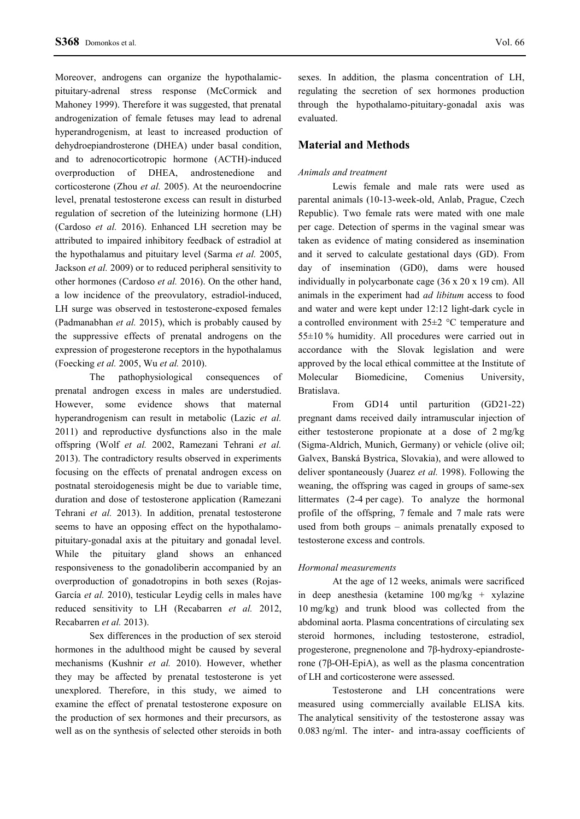Moreover, androgens can organize the hypothalamicpituitary-adrenal stress response (McCormick and Mahoney 1999). Therefore it was suggested, that prenatal androgenization of female fetuses may lead to adrenal hyperandrogenism, at least to increased production of dehydroepiandrosterone (DHEA) under basal condition, and to adrenocorticotropic hormone (ACTH)-induced overproduction of DHEA, androstenedione and corticosterone (Zhou *et al.* 2005). At the neuroendocrine level, prenatal testosterone excess can result in disturbed regulation of secretion of the luteinizing hormone (LH) (Cardoso *et al.* 2016). Enhanced LH secretion may be attributed to impaired inhibitory feedback of estradiol at the hypothalamus and pituitary level (Sarma *et al.* 2005, Jackson *et al.* 2009) or to reduced peripheral sensitivity to other hormones (Cardoso *et al.* 2016). On the other hand, a low incidence of the preovulatory, estradiol-induced, LH surge was observed in testosterone-exposed females (Padmanabhan *et al.* 2015), which is probably caused by the suppressive effects of prenatal androgens on the expression of progesterone receptors in the hypothalamus (Foecking *et al.* 2005, Wu *et al.* 2010).

The pathophysiological consequences of prenatal androgen excess in males are understudied. However, some evidence shows that maternal hyperandrogenism can result in metabolic (Lazic *et al.*  2011) and reproductive dysfunctions also in the male offspring (Wolf *et al.* 2002, Ramezani Tehrani *et al.*  2013). The contradictory results observed in experiments focusing on the effects of prenatal androgen excess on postnatal steroidogenesis might be due to variable time, duration and dose of testosterone application (Ramezani Tehrani *et al.* 2013). In addition, prenatal testosterone seems to have an opposing effect on the hypothalamopituitary-gonadal axis at the pituitary and gonadal level. While the pituitary gland shows an enhanced responsiveness to the gonadoliberin accompanied by an overproduction of gonadotropins in both sexes (Rojas-García *et al.* 2010), testicular Leydig cells in males have reduced sensitivity to LH (Recabarren *et al.* 2012, Recabarren *et al.* 2013).

Sex differences in the production of sex steroid hormones in the adulthood might be caused by several mechanisms (Kushnir *et al.* 2010). However, whether they may be affected by prenatal testosterone is yet unexplored. Therefore, in this study, we aimed to examine the effect of prenatal testosterone exposure on the production of sex hormones and their precursors, as well as on the synthesis of selected other steroids in both sexes. In addition, the plasma concentration of LH, regulating the secretion of sex hormones production through the hypothalamo-pituitary-gonadal axis was evaluated.

## **Material and Methods**

#### *Animals and treatment*

Lewis female and male rats were used as parental animals (10-13-week-old, Anlab, Prague, Czech Republic). Two female rats were mated with one male per cage. Detection of sperms in the vaginal smear was taken as evidence of mating considered as insemination and it served to calculate gestational days (GD). From day of insemination (GD0), dams were housed individually in polycarbonate cage (36 x 20 x 19 cm). All animals in the experiment had *ad libitum* access to food and water and were kept under 12:12 light-dark cycle in a controlled environment with 25±2 °C temperature and  $55±10$  % humidity. All procedures were carried out in accordance with the Slovak legislation and were approved by the local ethical committee at the Institute of Molecular Biomedicine, Comenius University, Bratislava.

From GD14 until parturition (GD21-22) pregnant dams received daily intramuscular injection of either testosterone propionate at a dose of 2 mg/kg (Sigma-Aldrich, Munich, Germany) or vehicle (olive oil; Galvex, Banská Bystrica, Slovakia), and were allowed to deliver spontaneously (Juarez *et al.* 1998). Following the weaning, the offspring was caged in groups of same-sex littermates (2-4 per cage). To analyze the hormonal profile of the offspring, 7 female and 7 male rats were used from both groups – animals prenatally exposed to testosterone excess and controls.

#### *Hormonal measurements*

At the age of 12 weeks, animals were sacrificed in deep anesthesia (ketamine 100 mg/kg + xylazine 10 mg/kg) and trunk blood was collected from the abdominal aorta. Plasma concentrations of circulating sex steroid hormones, including testosterone, estradiol, progesterone, pregnenolone and 7β-hydroxy-epiandrosterone (7β-OH-EpiA), as well as the plasma concentration of LH and corticosterone were assessed.

Testosterone and LH concentrations were measured using commercially available ELISA kits. The analytical sensitivity of the testosterone assay was 0.083 ng/ml. The inter- and intra-assay coefficients of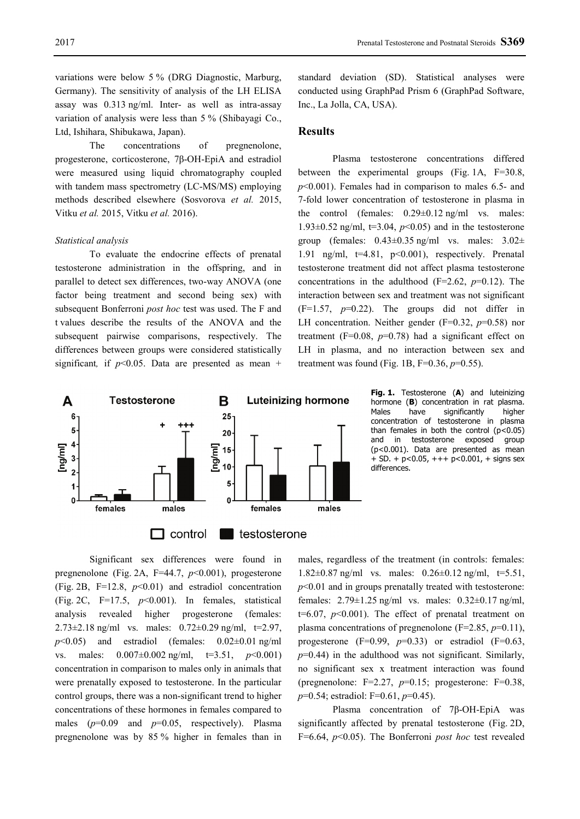variations were below 5 % (DRG Diagnostic, Marburg, Germany). The sensitivity of analysis of the LH ELISA assay was 0.313 ng/ml. Inter- as well as intra-assay variation of analysis were less than 5 % (Shibayagi Co., Ltd, Ishihara, Shibukawa, Japan).

The concentrations of pregnenolone, progesterone, corticosterone, 7β-OH-EpiA and estradiol were measured using liquid chromatography coupled with tandem mass spectrometry (LC-MS/MS) employing methods described elsewhere (Sosvorova *et al.* 2015, Vitku *et al.* 2015, Vitku *et al.* 2016).

## *Statistical analysis*

To evaluate the endocrine effects of prenatal testosterone administration in the offspring, and in parallel to detect sex differences, two-way ANOVA (one factor being treatment and second being sex) with subsequent Bonferroni *post hoc* test was used. The F and t values describe the results of the ANOVA and the subsequent pairwise comparisons, respectively. The differences between groups were considered statistically significant, if  $p<0.05$ . Data are presented as mean +

standard deviation (SD). Statistical analyses were conducted using GraphPad Prism 6 (GraphPad Software, Inc., La Jolla, CA, USA).

## **Results**

Plasma testosterone concentrations differed between the experimental groups (Fig. 1A, F=30.8, *p*˂0.001). Females had in comparison to males 6.5- and 7-fold lower concentration of testosterone in plasma in the control (females: 0.29±0.12 ng/ml vs. males: 1.93 $\pm$ 0.52 ng/ml, t=3.04,  $p$ <0.05) and in the testosterone group (females: 0.43±0.35 ng/ml vs. males: 3.02± 1.91 ng/ml,  $t=4.81$ ,  $p<0.001$ ), respectively. Prenatal testosterone treatment did not affect plasma testosterone concentrations in the adulthood ( $F=2.62$ ,  $p=0.12$ ). The interaction between sex and treatment was not significant  $(F=1.57, p=0.22)$ . The groups did not differ in LH concentration. Neither gender (F=0.32, *p*=0.58) nor treatment ( $F=0.08$ ,  $p=0.78$ ) had a significant effect on LH in plasma, and no interaction between sex and treatment was found (Fig. 1B,  $F=0.36$ ,  $p=0.55$ ).



**Fig. 1.** Testosterone (**A**) and luteinizing hormone (**B**) concentration in rat plasma.<br>Males have significantly higher significantly concentration of testosterone in plasma than females in both the control (p˂0.05) and in testosterone exposed group (p˂0.001). Data are presented as mean + SD. + p˂0.05, +++ p˂0.001, + signs sex differences.

Significant sex differences were found in pregnenolone (Fig. 2A, F=44.7, *p*˂0.001), progesterone (Fig. 2B, F=12.8, *p*˂0.01) and estradiol concentration (Fig. 2C, F=17.5, *p*˂0.001). In females, statistical analysis revealed higher progesterone (females: 2.73 $\pm$ 2.18 ng/ml vs. males: 0.72 $\pm$ 0.29 ng/ml, t=2.97,  $p<0.05$ ) and estradiol (females:  $0.02\pm0.01$  ng/ml vs. males: 0.007±0.002 ng/ml, t=3.51, *p*˂0.001) concentration in comparison to males only in animals that were prenatally exposed to testosterone. In the particular control groups, there was a non-significant trend to higher concentrations of these hormones in females compared to males (*p*=0.09 and *p*=0.05, respectively). Plasma pregnenolone was by 85 % higher in females than in

males, regardless of the treatment (in controls: females: 1.82 $\pm$ 0.87 ng/ml vs. males: 0.26 $\pm$ 0.12 ng/ml, t=5.51, *p*˂0.01 and in groups prenatally treated with testosterone: females: 2.79±1.25 ng/ml vs. males: 0.32±0.17 ng/ml,  $t=6.07$ ,  $p<0.001$ ). The effect of prenatal treatment on plasma concentrations of pregnenolone (F=2.85, *p*=0.11), progesterone  $(F=0.99, p=0.33)$  or estradiol  $(F=0.63,$  $p=0.44$ ) in the adulthood was not significant. Similarly, no significant sex x treatment interaction was found (pregnenolone: F=2.27, *p*=0.15; progesterone: F=0.38, *p*=0.54; estradiol: F=0.61, *p*=0.45).

Plasma concentration of 7β-OH-EpiA was significantly affected by prenatal testosterone (Fig. 2D, F=6.64, *p*˂0.05). The Bonferroni *post hoc* test revealed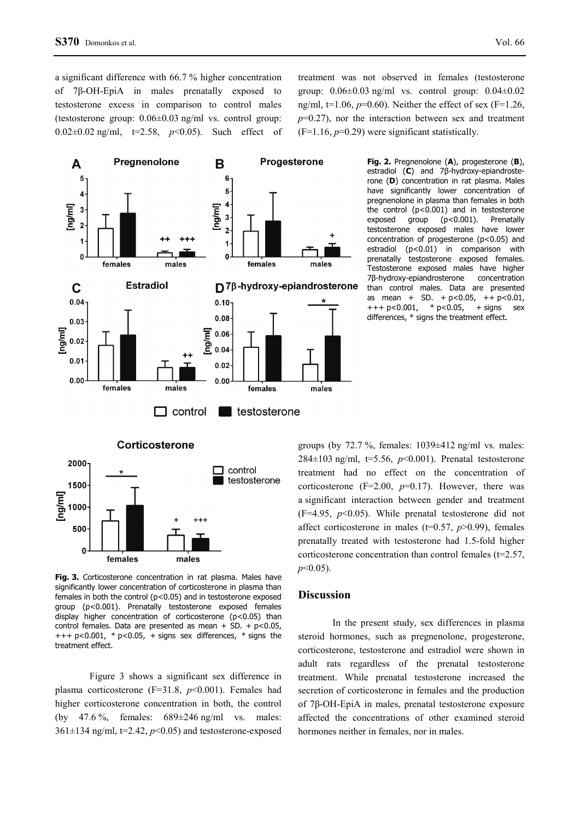a significant difference with 66.7 % higher concentration of 7β-OH-EpiA in males prenatally exposed to testosterone excess in comparison to control males (testosterone group: 0.06±0.03 ng/ml vs. control group: 0.02±0.02 ng/ml, t=2.58, *p*˂0.05). Such effect of treatment was not observed in females (testosterone group: 0.06±0.03 ng/ml vs. control group: 0.04±0.02 ng/ml,  $t=1.06$ ,  $p=0.60$ ). Neither the effect of sex (F=1.26, *p*=0.27), nor the interaction between sex and treatment  $(F=1.16, p=0.29)$  were significant statistically.



**Fig. 2.** Pregnenolone (**A**), progesterone (**B**), estradiol (**C**) and 7β-hydroxy-epiandrosterone (**D**) concentration in rat plasma. Males have significantly lower concentration of pregnenolone in plasma than females in both the control (p˂0.001) and in testosterone exposed group (p˂0.001). Prenatally testosterone exposed males have lower concentration of progesterone (p˂0.05) and estradiol (p˂0.01) in comparison with prenatally testosterone exposed females. Testosterone exposed males have higher 7β-hydroxy-epiandrosterone concentration than control males. Data are presented as mean + SD.  $+ p < 0.05$ ,  $+ p < 0.01$ ,  $+++p<0.001$ , \*  $p<0.05$ , + signs sex differences, \* signs the treatment effect.

groups (by 72.7 %, females:  $1039 \pm 412$  ng/ml vs. males: 284±103 ng/ml, t=5.56, *p*˂0.001). Prenatal testosterone treatment had no effect on the concentration of corticosterone (F=2.00,  $p=0.17$ ). However, there was a significant interaction between gender and treatment (F=4.95, *p*˂0.05). While prenatal testosterone did not affect corticosterone in males (t=0.57, *p*>0.99), females prenatally treated with testosterone had 1.5-fold higher corticosterone concentration than control females ( $t=2.57$ , *p*˂0.05).

#### **Discussion**

In the present study, sex differences in plasma steroid hormones, such as pregnenolone, progesterone, corticosterone, testosterone and estradiol were shown in adult rats regardless of the prenatal testosterone treatment. While prenatal testosterone increased the secretion of corticosterone in females and the production of 7β-OH-EpiA in males, prenatal testosterone exposure affected the concentrations of other examined steroid hormones neither in females, nor in males.

**Fig. 3.** Corticosterone concentration in rat plasma. Males have significantly lower concentration of corticosterone in plasma than females in both the control (p˂0.05) and in testosterone exposed group (p˂0.001). Prenatally testosterone exposed females display higher concentration of corticosterone (p˂0.05) than control females. Data are presented as mean  $+$  SD.  $+$  p<0.05,  $+++p<0.001$ , \*  $p<0.05$ , + signs sex differences, \* signs the treatment effect.

males

500

 $\Omega$ 

females

Figure 3 shows a significant sex difference in plasma corticosterone (F=31.8, *p*˂0.001). Females had higher corticosterone concentration in both, the control (by 47.6 %, females: 689±246 ng/ml vs. males:  $361\pm134$  ng/ml,  $t=2.42$ ,  $p<0.05$ ) and testosterone-exposed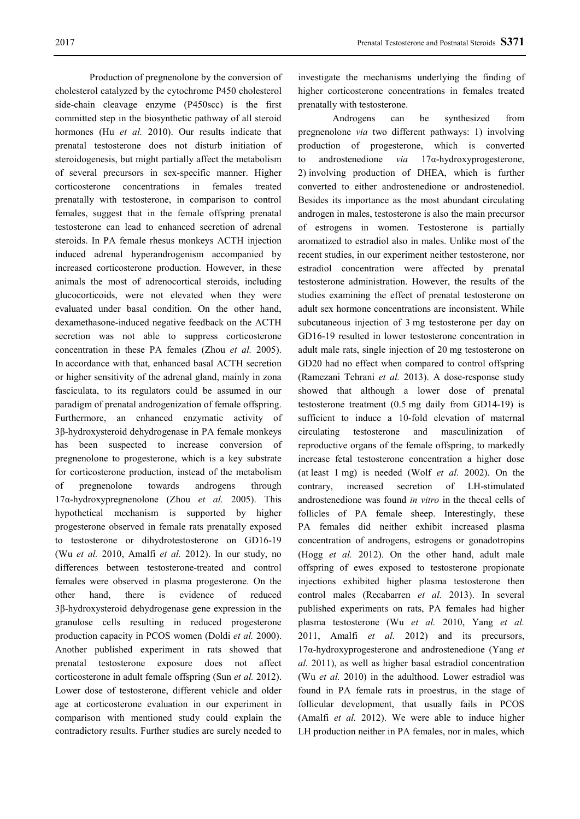Production of pregnenolone by the conversion of cholesterol catalyzed by the cytochrome P450 cholesterol side-chain cleavage enzyme (P450scc) is the first committed step in the biosynthetic pathway of all steroid hormones (Hu *et al.* 2010). Our results indicate that prenatal testosterone does not disturb initiation of steroidogenesis, but might partially affect the metabolism of several precursors in sex-specific manner. Higher corticosterone concentrations in females treated prenatally with testosterone, in comparison to control females, suggest that in the female offspring prenatal testosterone can lead to enhanced secretion of adrenal steroids. In PA female rhesus monkeys ACTH injection induced adrenal hyperandrogenism accompanied by increased corticosterone production. However, in these animals the most of adrenocortical steroids, including glucocorticoids, were not elevated when they were evaluated under basal condition. On the other hand, dexamethasone-induced negative feedback on the ACTH secretion was not able to suppress corticosterone concentration in these PA females (Zhou *et al.* 2005). In accordance with that, enhanced basal ACTH secretion or higher sensitivity of the adrenal gland, mainly in zona fasciculata, to its regulators could be assumed in our paradigm of prenatal androgenization of female offspring. Furthermore, an enhanced enzymatic activity of 3β-hydroxysteroid dehydrogenase in PA female monkeys has been suspected to increase conversion of pregnenolone to progesterone, which is a key substrate for corticosterone production, instead of the metabolism of pregnenolone towards androgens through 17α-hydroxypregnenolone (Zhou *et al.* 2005). This hypothetical mechanism is supported by higher progesterone observed in female rats prenatally exposed to testosterone or dihydrotestosterone on GD16-19 (Wu *et al.* 2010, Amalfi *et al.* 2012). In our study, no differences between testosterone-treated and control females were observed in plasma progesterone. On the other hand, there is evidence of reduced 3β-hydroxysteroid dehydrogenase gene expression in the granulose cells resulting in reduced progesterone production capacity in PCOS women (Doldi *et al.* 2000). Another published experiment in rats showed that prenatal testosterone exposure does not affect corticosterone in adult female offspring (Sun *et al.* 2012). Lower dose of testosterone, different vehicle and older age at corticosterone evaluation in our experiment in comparison with mentioned study could explain the contradictory results. Further studies are surely needed to

investigate the mechanisms underlying the finding of higher corticosterone concentrations in females treated prenatally with testosterone.

Androgens can be synthesized from pregnenolone *via* two different pathways: 1) involving production of progesterone, which is converted to androstenedione *via* 17α-hydroxyprogesterone, 2) involving production of DHEA, which is further converted to either androstenedione or androstenediol. Besides its importance as the most abundant circulating androgen in males, testosterone is also the main precursor of estrogens in women. Testosterone is partially aromatized to estradiol also in males. Unlike most of the recent studies, in our experiment neither testosterone, nor estradiol concentration were affected by prenatal testosterone administration. However, the results of the studies examining the effect of prenatal testosterone on adult sex hormone concentrations are inconsistent. While subcutaneous injection of 3 mg testosterone per day on GD16-19 resulted in lower testosterone concentration in adult male rats, single injection of 20 mg testosterone on GD20 had no effect when compared to control offspring (Ramezani Tehrani *et al.* 2013). A dose-response study showed that although a lower dose of prenatal testosterone treatment (0.5 mg daily from GD14-19) is sufficient to induce a 10-fold elevation of maternal circulating testosterone and masculinization of reproductive organs of the female offspring, to markedly increase fetal testosterone concentration a higher dose (at least 1 mg) is needed (Wolf *et al.* 2002). On the contrary, increased secretion of LH-stimulated androstenedione was found *in vitro* in the thecal cells of follicles of PA female sheep. Interestingly, these PA females did neither exhibit increased plasma concentration of androgens, estrogens or gonadotropins (Hogg *et al.* 2012). On the other hand, adult male offspring of ewes exposed to testosterone propionate injections exhibited higher plasma testosterone then control males (Recabarren *et al.* 2013). In several published experiments on rats, PA females had higher plasma testosterone (Wu *et al.* 2010, Yang *et al.*  2011, Amalfi *et al.* 2012) and its precursors, 17α-hydroxyprogesterone and androstenedione (Yang *et al.* 2011), as well as higher basal estradiol concentration (Wu *et al.* 2010) in the adulthood. Lower estradiol was found in PA female rats in proestrus, in the stage of follicular development, that usually fails in PCOS (Amalfi *et al.* 2012). We were able to induce higher LH production neither in PA females, nor in males, which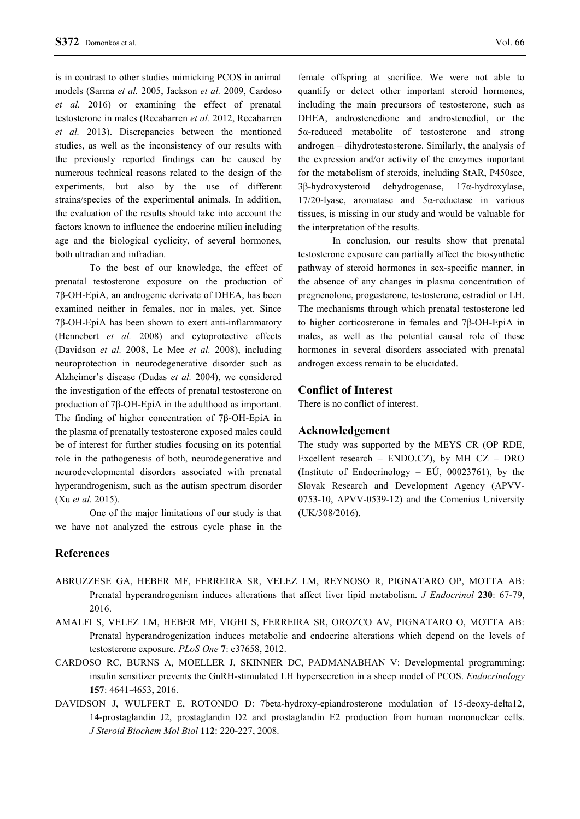is in contrast to other studies mimicking PCOS in animal models (Sarma *et al.* 2005, Jackson *et al.* 2009, Cardoso *et al.* 2016) or examining the effect of prenatal testosterone in males (Recabarren *et al.* 2012, Recabarren *et al.* 2013). Discrepancies between the mentioned studies, as well as the inconsistency of our results with the previously reported findings can be caused by numerous technical reasons related to the design of the experiments, but also by the use of different strains/species of the experimental animals. In addition, the evaluation of the results should take into account the factors known to influence the endocrine milieu including age and the biological cyclicity, of several hormones, both ultradian and infradian.

To the best of our knowledge, the effect of prenatal testosterone exposure on the production of 7β-OH-EpiA, an androgenic derivate of DHEA, has been examined neither in females, nor in males, yet. Since 7β-OH-EpiA has been shown to exert anti-inflammatory (Hennebert *et al.* 2008) and cytoprotective effects (Davidson *et al.* 2008, Le Mee *et al.* 2008), including neuroprotection in neurodegenerative disorder such as Alzheimer's disease (Dudas *et al.* 2004), we considered the investigation of the effects of prenatal testosterone on production of 7β-OH-EpiA in the adulthood as important. The finding of higher concentration of 7β-OH-EpiA in the plasma of prenatally testosterone exposed males could be of interest for further studies focusing on its potential role in the pathogenesis of both, neurodegenerative and neurodevelopmental disorders associated with prenatal hyperandrogenism, such as the autism spectrum disorder (Xu *et al.* 2015).

One of the major limitations of our study is that we have not analyzed the estrous cycle phase in the

**References**

female offspring at sacrifice. We were not able to quantify or detect other important steroid hormones, including the main precursors of testosterone, such as DHEA, androstenedione and androstenediol, or the 5α-reduced metabolite of testosterone and strong androgen – dihydrotestosterone. Similarly, the analysis of the expression and/or activity of the enzymes important for the metabolism of steroids, including StAR, P450scc, 3β-hydroxysteroid dehydrogenase, 17α-hydroxylase, 17/20-lyase, aromatase and 5α-reductase in various tissues, is missing in our study and would be valuable for the interpretation of the results.

In conclusion, our results show that prenatal testosterone exposure can partially affect the biosynthetic pathway of steroid hormones in sex-specific manner, in the absence of any changes in plasma concentration of pregnenolone, progesterone, testosterone, estradiol or LH. The mechanisms through which prenatal testosterone led to higher corticosterone in females and 7β-OH-EpiA in males, as well as the potential causal role of these hormones in several disorders associated with prenatal androgen excess remain to be elucidated.

#### **Conflict of Interest**

There is no conflict of interest.

## **Acknowledgement**

The study was supported by the MEYS CR (OP RDE, Excellent research – ENDO.CZ), by MH CZ – DRO (Institute of Endocrinology –  $E\acute{U}$ , 00023761), by the Slovak Research and Development Agency (APVV-0753-10, APVV-0539-12) and the Comenius University (UK/308/2016).

- ABRUZZESE GA, HEBER MF, FERREIRA SR, VELEZ LM, REYNOSO R, PIGNATARO OP, MOTTA AB: Prenatal hyperandrogenism induces alterations that affect liver lipid metabolism. *J Endocrinol* **230**: 67-79, 2016.
- AMALFI S, VELEZ LM, HEBER MF, VIGHI S, FERREIRA SR, OROZCO AV, PIGNATARO O, MOTTA AB: Prenatal hyperandrogenization induces metabolic and endocrine alterations which depend on the levels of testosterone exposure. *PLoS One* **7**: e37658, 2012.
- CARDOSO RC, BURNS A, MOELLER J, SKINNER DC, PADMANABHAN V: Developmental programming: insulin sensitizer prevents the GnRH-stimulated LH hypersecretion in a sheep model of PCOS. *Endocrinology* **157**: 4641-4653, 2016.
- DAVIDSON J, WULFERT E, ROTONDO D: 7beta-hydroxy-epiandrosterone modulation of 15-deoxy-delta12, 14-prostaglandin J2, prostaglandin D2 and prostaglandin E2 production from human mononuclear cells. *J Steroid Biochem Mol Biol* **112**: 220-227, 2008.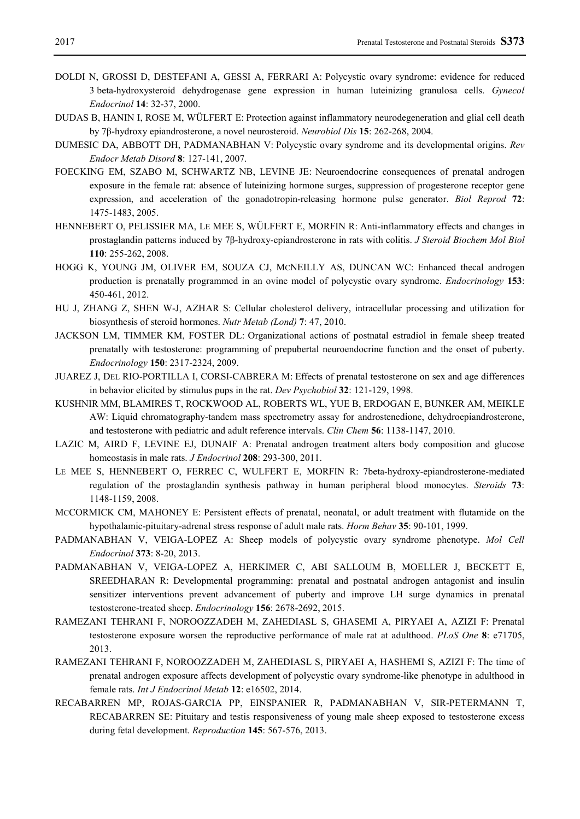- DOLDI N, GROSSI D, DESTEFANI A, GESSI A, FERRARI A: Polycystic ovary syndrome: evidence for reduced 3 beta-hydroxysteroid dehydrogenase gene expression in human luteinizing granulosa cells. *Gynecol Endocrinol* **14**: 32-37, 2000.
- DUDAS B, HANIN I, ROSE M, WÜLFERT E: Protection against inflammatory neurodegeneration and glial cell death by 7β-hydroxy epiandrosterone, a novel neurosteroid. *Neurobiol Dis* **15**: 262-268, 2004.
- DUMESIC DA, ABBOTT DH, PADMANABHAN V: Polycystic ovary syndrome and its developmental origins. *Rev Endocr Metab Disord* **8**: 127-141, 2007.
- FOECKING EM, SZABO M, SCHWARTZ NB, LEVINE JE: Neuroendocrine consequences of prenatal androgen exposure in the female rat: absence of luteinizing hormone surges, suppression of progesterone receptor gene expression, and acceleration of the gonadotropin-releasing hormone pulse generator. *Biol Reprod* **72**: 1475-1483, 2005.
- HENNEBERT O, PELISSIER MA, LE MEE S, WÜLFERT E, MORFIN R: Anti-inflammatory effects and changes in prostaglandin patterns induced by 7β-hydroxy-epiandrosterone in rats with colitis. *J Steroid Biochem Mol Biol* **110**: 255-262, 2008.
- HOGG K, YOUNG JM, OLIVER EM, SOUZA CJ, MCNEILLY AS, DUNCAN WC: Enhanced thecal androgen production is prenatally programmed in an ovine model of polycystic ovary syndrome. *Endocrinology* **153**: 450-461, 2012.
- HU J, ZHANG Z, SHEN W-J, AZHAR S: Cellular cholesterol delivery, intracellular processing and utilization for biosynthesis of steroid hormones. *Nutr Metab (Lond)* **7**: 47, 2010.
- JACKSON LM, TIMMER KM, FOSTER DL: Organizational actions of postnatal estradiol in female sheep treated prenatally with testosterone: programming of prepubertal neuroendocrine function and the onset of puberty. *Endocrinology* **150**: 2317-2324, 2009.
- JUAREZ J, DEL RIO-PORTILLA I, CORSI-CABRERA M: Effects of prenatal testosterone on sex and age differences in behavior elicited by stimulus pups in the rat. *Dev Psychobiol* **32**: 121-129, 1998.
- KUSHNIR MM, BLAMIRES T, ROCKWOOD AL, ROBERTS WL, YUE B, ERDOGAN E, BUNKER AM, MEIKLE AW: Liquid chromatography-tandem mass spectrometry assay for androstenedione, dehydroepiandrosterone, and testosterone with pediatric and adult reference intervals. *Clin Chem* **56**: 1138-1147, 2010.
- LAZIC M, AIRD F, LEVINE EJ, DUNAIF A: Prenatal androgen treatment alters body composition and glucose homeostasis in male rats. *J Endocrinol* **208**: 293-300, 2011.
- LE MEE S, HENNEBERT O, FERREC C, WULFERT E, MORFIN R: 7beta-hydroxy-epiandrosterone-mediated regulation of the prostaglandin synthesis pathway in human peripheral blood monocytes. *Steroids* **73**: 1148-1159, 2008.
- MCCORMICK CM, MAHONEY E: Persistent effects of prenatal, neonatal, or adult treatment with flutamide on the hypothalamic-pituitary-adrenal stress response of adult male rats. *Horm Behav* **35**: 90-101, 1999.
- PADMANABHAN V, VEIGA-LOPEZ A: Sheep models of polycystic ovary syndrome phenotype. *Mol Cell Endocrinol* **373**: 8-20, 2013.
- PADMANABHAN V, VEIGA-LOPEZ A, HERKIMER C, ABI SALLOUM B, MOELLER J, BECKETT E, SREEDHARAN R: Developmental programming: prenatal and postnatal androgen antagonist and insulin sensitizer interventions prevent advancement of puberty and improve LH surge dynamics in prenatal testosterone-treated sheep. *Endocrinology* **156**: 2678-2692, 2015.
- RAMEZANI TEHRANI F, NOROOZZADEH M, ZAHEDIASL S, GHASEMI A, PIRYAEI A, AZIZI F: Prenatal testosterone exposure worsen the reproductive performance of male rat at adulthood. *PLoS One* **8**: e71705, 2013.
- RAMEZANI TEHRANI F, NOROOZZADEH M, ZAHEDIASL S, PIRYAEI A, HASHEMI S, AZIZI F: The time of prenatal androgen exposure affects development of polycystic ovary syndrome-like phenotype in adulthood in female rats. *Int J Endocrinol Metab* **12**: e16502, 2014.
- RECABARREN MP, ROJAS-GARCIA PP, EINSPANIER R, PADMANABHAN V, SIR-PETERMANN T, RECABARREN SE: Pituitary and testis responsiveness of young male sheep exposed to testosterone excess during fetal development. *Reproduction* **145**: 567-576, 2013.